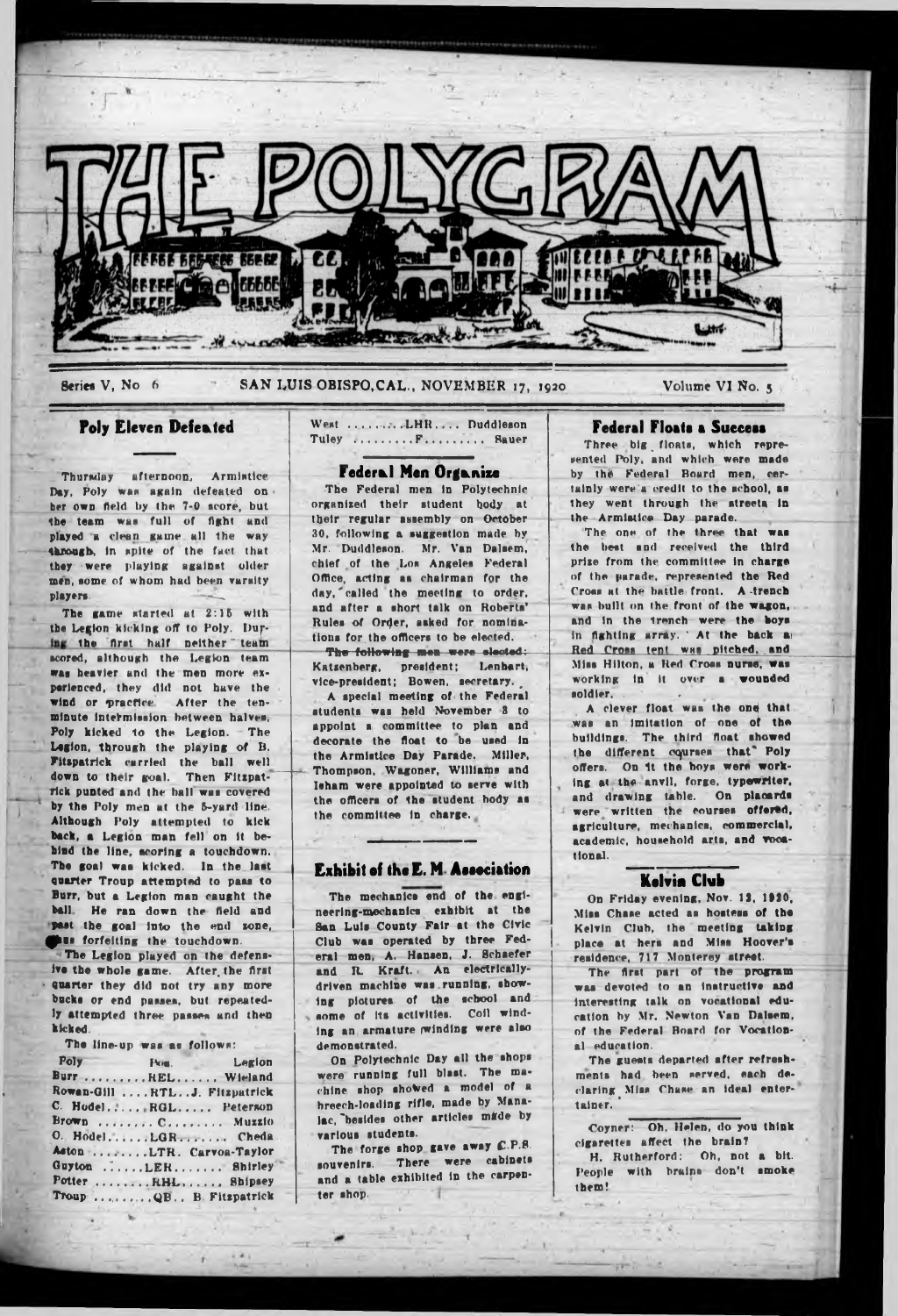

Series V, No 6

SAN LUIS OBISPO, CAL., NOVEMBER 17, 1920

Volume VI No. 5

# **Poly Eleven Defeated**

Thursday afternoon, Armistice Day, Poly was again defeated on. her own field by the 7-0 score, but the team was full of fight and played a clean game all the way through, in spite of the fact that they were playing against older men, some of whom had been varsity players.

The game started at 2:15 with the Legion kicking off to Poly. During the first half neither team scored, although the Legion team was heavier and the men more experienced, they did not have the wind or practice. After the tenminute intermission between halves, Poly kicked to the Legion. The Legion, through the playing of B.<br>Fitspatrick carried the ball well down to their goal. Then Fitzpatrick punted and the ball was covered by the Poly men at the 5-yard line. Although Poly attempted to kick back, a Legion man fell on it bebind the line, acoring a touchdown. The goal was kicked. In the last quarter Troup attempted to pass to Burr, but a Legion man caught the ball. He ran down the field and past the goal into the end zone, ous forfeiting the touchdown.

The Legion played on the defensive the whole game. After the first quarter they did not try any more bucks or end passes, but repeatedly attempted three passes and then kicked.

The line-up was as follows:

| Poly                          | Pos. Legion |
|-------------------------------|-------------|
| Burr REL Wieland              |             |
| Rowan-Gill  RTLJ. Fitzpatrick |             |
| C. Hodel RGL Peterson         |             |
| Brown  C Muzzio               |             |
| O. HodelLGR Cheda             |             |
| Aston LTR. Carvoa-Taylor      |             |
| Guyton LER Shirley            |             |
| Potter RHL Shipsey            |             |
| Troup  OB., B. Fitzpatrick    |             |

West .........LHR.... Duddleson Tuley .........F......... Sauer

# Federal Men Organize

The Federal men in Polytechnic organized their student body at their regular assembly on October 30, following a suggestion made by Mr. Duddleson. Mr. Van Dalsem, chief of the Los Angeles Federal Office, acting as chairman for the day, called the meeting to order. and after a short talk on Roberts' Rules of Order, asked for nominations for the officers to be elected. The following men were elected: Katzenberg, president; Lenhart, vice-president; Bowen, secretary.

A special meeting of the Federal students was held November 3 to appoint a committee to plan and decorate the float to be used in the Armistice Day Parade. Miller. Thompson, Wagoner, Williams and leham were appointed to serve with the officers of the student hody as the committee in charge.

## **Exhibit of the E. M. Association**

The mechanics end of the engineering-mechanics exhibit at the San Luis County Fair at the Civic Club was operated by three Federal men, A. Hansen, J. Schaefer and R. Kraft. An electricallydriven machine was running, showing pictures of the school and some of its activities. Coil winding an armature winding were also demonstrated.

On Polytechnic Day all the shops were running full blast. The machine shop showed a model of a breech-loading rifle, made by Manalac, besides other articles made by various students.

The forge shop gave away C.P.S. souvenirs. There were cabinets and a table exhibited in the carpenter shop.

# **Federal Floats a Success**

Three big floats, which represented Poly, and which were made by the Federal Board men, certainly were a credit to the school, as they went through the streets in the Armistice Day parade.

The one of the three that was<br>the best and received the third prize from the committee in charge of the parade, represented the Red Cross at the battle front. A trench was built on the front of the wagon, and in the trench were the boys in fighting array. At the back as Red Cross tent was pitched, and Miss Hilton, a Red Cross nurse, was working in it over a wounded soldier.

A clever float was the one that was an imitation of one of the buildings. The third float showed the different courses that" Poly offers. On it the boys were working at the anvil, forge, typewriter, and drawing table. On placards were written the courses offered, agriculture, mechanics, commercial, academic, household arts, and vocational.

## **Kelvia Club**

On Friday evening, Nov. 12, 1920, Miss Chase acted as hostess of the Kelvin Club, the meeting taking place at hers and Miss Hoover's residence, 717 Monterey street.

The first part of the program was devoted to an instructive and interesting talk on vocational education by Mr. Newton Van Dalsem, of the Federal Board for Vocational education.

The guests departed after refreshments had been served, each declaring Miss Chase an ideal entertainer.

Coyner: Oh, Helen, do you think cigarettes affect the brain? H. Rutherford: Oh, not a bit. People with brains don't smoke them!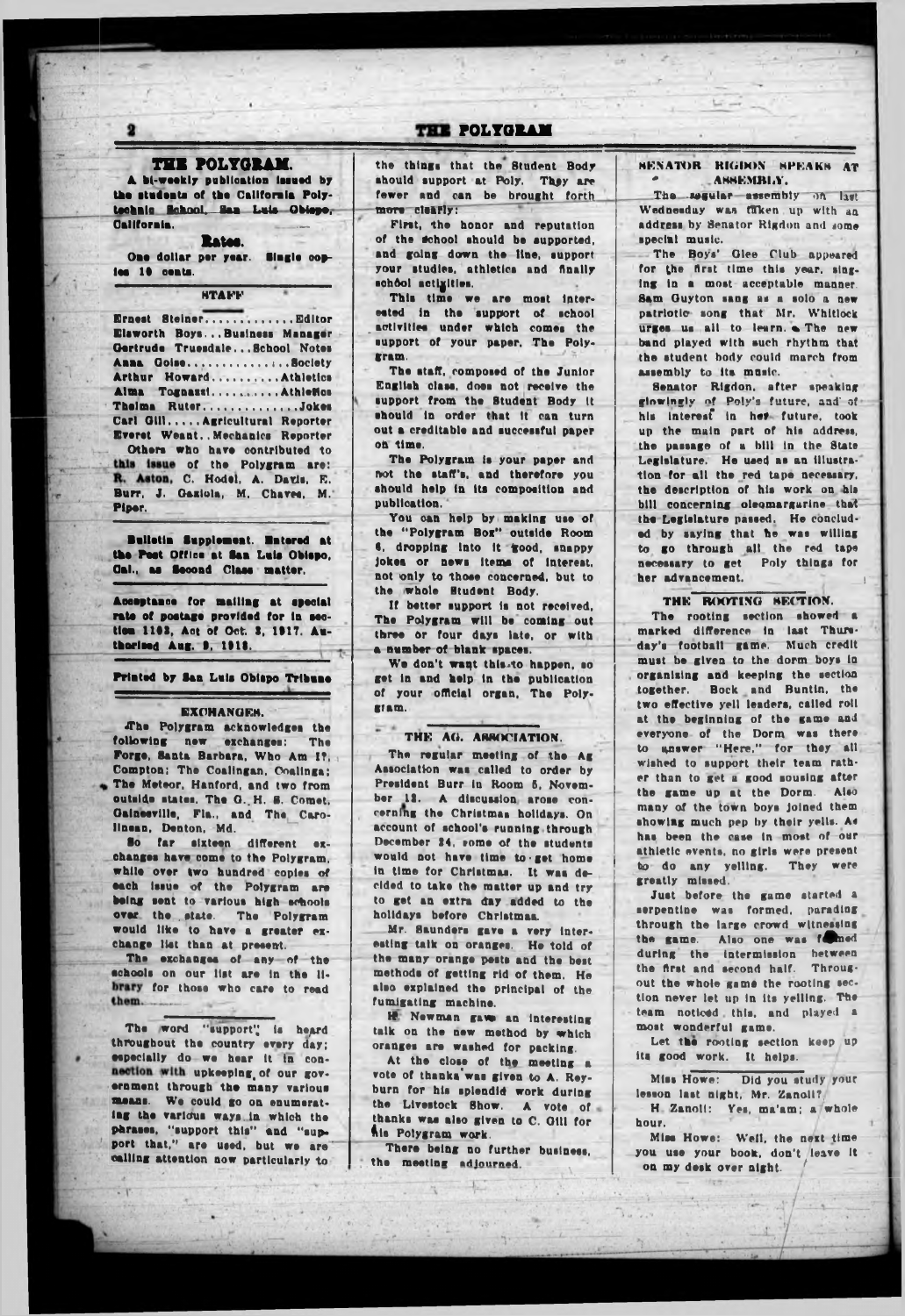# THE POLYGRAM

THE POLYGRAM. A bi-weekly publication issued by the students of the California Poly-<u>technic School, San Luis Obiepo,</u>

California. Rates. One dollar per year. Single cop-

ies 10 cents.

**HTAFF** 

Ernest Steiner.............. Editor Elsworth Boys...Business Manager Gertrude Truesdale... School Notes Anna Goise................Bociety Arthur Howard..........Athletics Alma Tognazzi...........Athletics Thelma Ruter..............Jokes Carl Gill..... Agricultural Reporter Everet Weant..Mechanics Reporter Others who have contributed to this issue of the Polygram are:

R. Aston, C. Hodel, A. Davis, E. Burr, J. Gaziola, M. Chaves, M. Piper.

Bulletin Supplement. Entered at the Post Office at San Luis Obiepo, Cal., as Second Class matter.

Acceptance for mailing at special rate of postage provided for in section 1102, Act of Oct. 3, 1917. Authorized Aug. 9, 1918.

## Printed by San Luis Obispo Tribune

#### **EXCHANGES.**

The Polygram acknowledges the following new exchanges: The Forge, Santa Barbara, Who Am I?. Compton; The Coalingan, Coalinga; The Meteor, Hanford, and two from outside states. The G. H. S. Comet. Gainesville, Fla., and The Carolinean, Denton, Md.

far sixteen different ex-80 changes have come to the Polygram. while over two hundred copies of each issue of the Polygram are being sent to various high schools over the state. The Polygram<br>would like to have a greater exchange list than at present.

The exchanges of any of the schools on our list are in the library for those who care to read them.

The word "support" is heard throughout the country every day; especially do we hear it in connection with upkeeping of our government through the many various means. We could go on enumerating the various ways in which the parases, "support this" and "support that," are used, but we are calling attention now particularly to the things that the Student Body should support at Poly. They are fewer and can be brought forth more clearly:

First, the honor and reputation of the school should be supported, and going down the line, support your studies, athletics and finally school actigities.

This time we are most interested in the support of school activities under which comes the support of your paper. The Polygram.

The staff, composed of the Junior English class, does not receive the support from the Student Body it should in order that it can turn out a creditable and successful paper on time.

The Polygram is your paper and not the staff's, and therefore you should help in its composition and nublication.

You can help by making use of the "Polygram Box" outside Room 6, dropping into it good, snappy jokes or news items of interest. not only to those concerned, but to the whole Student Body.

If better support is not received, The Polygram will be coming out three or four days late, or with a number of blank spaces.

We don't want this to happen, so get in and help in the publication of your official organ, The Poly-*RIAM.* 

#### THE AG. ABBOCIATION.

The regular meeting of the Ag Association was called to order by President Burr in Room 5, November 12. A discussion arose concerning the Christman holidays. On account of school's running through December 24, some of the students would not have time to get home in time for Christmas. It was decided to take the matter up and try to get an extra day added to the holidays before Christmas.

Mr. Saunders gave a very interesting taik on oranges. He told of the many orange pests and the best methods of getting rid of them. He also explained the principal of the fumigating machine.

**H** Newman gave an interesting talk on the new method by which oranges are washed for packing.

At the close of the meeting a vote of thanks was given to A. Reyburn for his splendid work during the Livestock Show. A vote of thanks was also given to C. Gill for his Polygram work.

There being no further business. the meeting adjourned.

## **SENATOR RIGDON SPEAKS AT ASSEMBLY.**

The session essembly on last Wednesday was taken up with an address by Senator Rigdon and some special music.

The Boys' Glee Club appeared for the first time this year, singing in a most acceptable manner. Sam Guyton sang as a solo a new patriotic song that Mr. Whitlock urges us all to learn. The new band played with such rhythm that the student body could march from assembly to its music.

Senator Rigdon, after speaking glowingly of Poly's future, and of his interest in her future, took up the main part of his address, the passage of a bill in the State Legislature. He used as an illustration for all the red tape necessary. the description of his work on his bill concerning oleomargarine that the Legislature passed. He concluded by saying that he was willing to go through all the red tape necessary to get Poly things for her advancement.

#### THE ROOTING SECTION.

The rooting section showed a marked difference in last Thursday's football game. Much credit must be given to the dorm boys in organising and keeping the section together. Bock and Buntin, the two effective yell leaders, called roll at the beginning of the game and everyone of the Dorm was there to answer "Here," for they all wished to support their team rather than to get a good sousing after the game up at the Dorm. - Also many of the town boys joined them showing much pep by their yells. As has been the case in most of our athletic events, no girls were present to do any yelling. They were greatly missed.

Just before the game started a serpentine was formed, parading through the large crowd witnessing the game. Also one was found<br>during the intermission between the first and second half. Througout the whole game the rooting section never let up in its yelling. The team noticed this, and played a most wonderful game.

Let the rooting section keep up its good work. It helps.

Miss Howe: Did you study your lesson last night, Mr. Zanoli? H. Zanoli: Yes, ma'am; a whole hour.

Miss Howe: Well, the next time you use your book, don't leave it on my desk over night.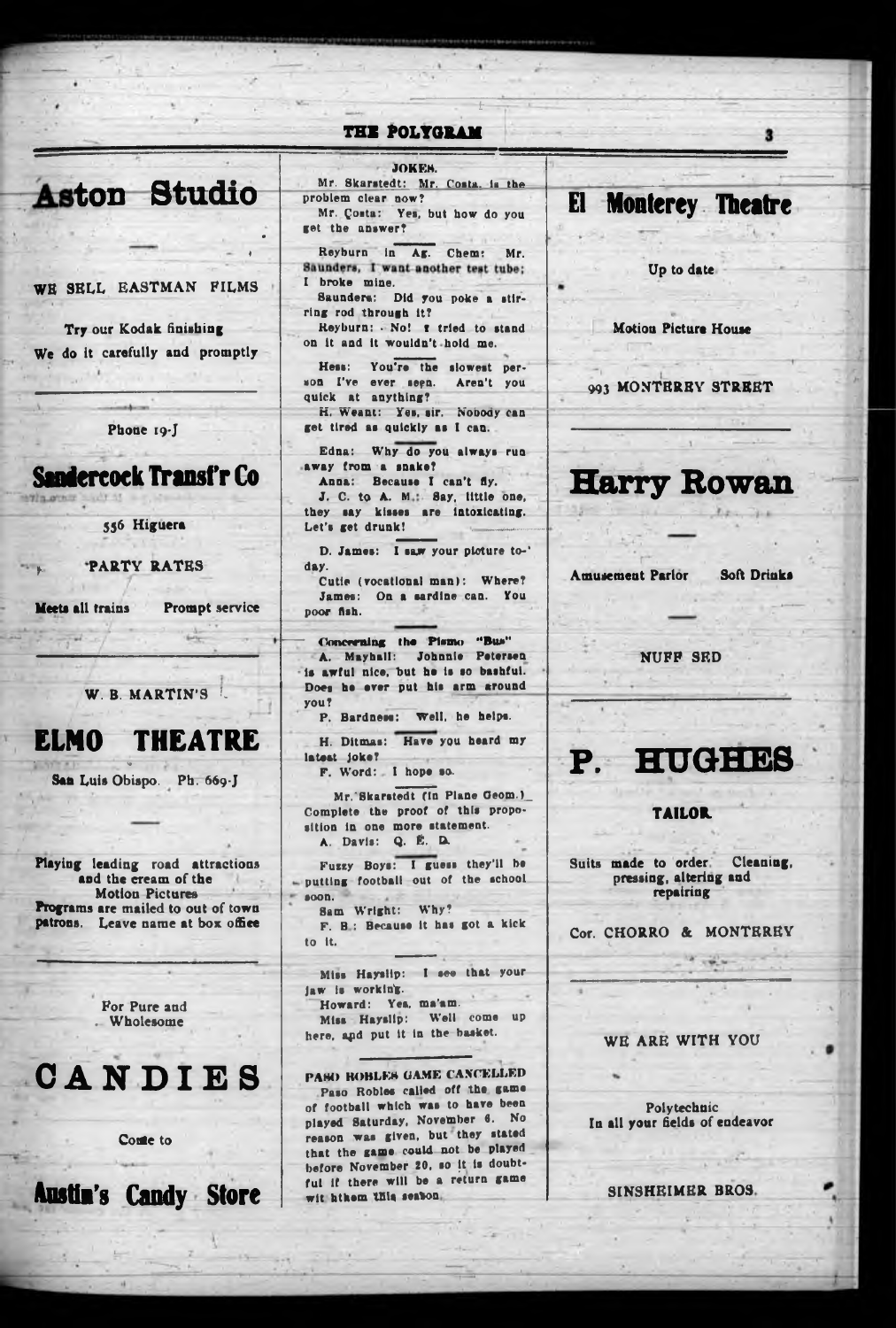